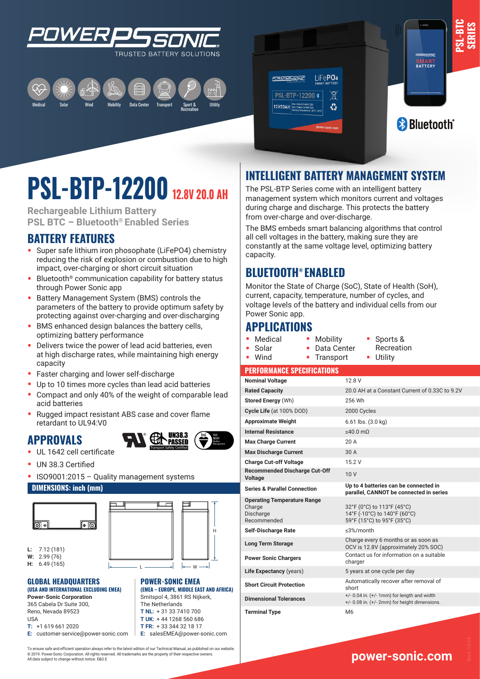





**PSL-BTC SERIES**

# **PSL-BTP-12200 12.8V 20.0 AH**

**Rechargeable Lithium Battery PSL BTC – Bluetooth® Enabled Series**

## **BATTERY FEATURES**

- **•** Super safe lithium iron phosophate (LiFePO4) chemistry reducing the risk of explosion or combustion due to high impact, over-charging or short circuit situation
- **•** Bluetooth® communication capability for battery status through Power Sonic app
- **•** Battery Management System (BMS) controls the parameters of the battery to provide optimum safety by protecting against over-charging and over-discharging
- **•** BMS enhanced design balances the battery cells, optimizing battery performance
- **•** Delivers twice the power of lead acid batteries, even at high discharge rates, while maintaining high energy capacity
- **•** Faster charging and lower self-discharge
- **•** Up to 10 times more cycles than lead acid batteries
- **•** Compact and only 40% of the weight of comparable lead acid batteries
- **•** Rugged impact resistant ABS case and cover flame retardant to UL94:V0

### **APPROVALS**



- **•** UL 1642 cell certificate
- **•** UN 38.3 Certified
- **•** ISO9001:2015 Quality management systems

#### **DIMENSIONS: inch (mm)**



**L:** 7.12 (181) **W:** 2.99 (76) **H:** 6.49 (165)



**POWER-SONIC EMEA** 

**(EMEA – EUROPE, MIDDLE EAST AND AFRICA)** Smitspol 4, 3861 RS Nijkerk, The Netherlands **T NL:** + 31 33 7410 700 **T UK:** + 44 1268 560 686

#### **GLOBAL HEADQUARTERS (USA AND INTERNATIONAL EXCLUDING EMEA)**

**Power-Sonic Corporation** 365 Cabela Dr Suite 300, L Reno, Nevada 89523 USA **T:** +1 619 661 2020

**E:** customer-service@power-sonic.com **T FR:** + 33 344 32 18 17 **E:** salesEMEA@power-sonic.com

To ensure safe and efficient operation always refer to the latest edition of our Technical Manual, as published on our website. © 2019. Power-Sonic Corporation. All rights reserved. All trademarks are the property of their respective owners. All data subject to change without notice. E&O.E

## **INTELLIGENT BATTERY MANAGEMENT SYSTEM**

The PSL-BTP Series come with an intelligent battery management system which monitors current and voltages during charge and discharge. This protects the battery from over-charge and over-discharge.

The BMS embeds smart balancing algorithms that control all cell voltages in the battery, making sure they are constantly at the same voltage level, optimizing battery capacity.

## **BLUETOOTH® ENABLED**

Monitor the State of Charge (SoC), State of Health (SoH), current, capacity, temperature, number of cycles, and voltage levels of the battery and individual cells from our Power Sonic app.

**•** Mobility

### **APPLICATIONS**

- **•** Medical
- **•** Data Center **•** Sports & Recreation **•** Utility
- **•** Solar **•** Wind **•** Transport
- **PERFORMANCE SPECIFICATIONS**

| <b>Nominal Voltage</b>                                                   | 12.8 V                                                                                                |
|--------------------------------------------------------------------------|-------------------------------------------------------------------------------------------------------|
| <b>Rated Capacity</b>                                                    | 20.0 AH at a Constant Current of 0.33C to 9.2V                                                        |
| <b>Stored Energy (Wh)</b>                                                | 256 Wh                                                                                                |
| Cycle Life (at 100% DOD)                                                 | 2000 Cycles                                                                                           |
| <b>Approximate Weight</b>                                                | $6.61$ lbs. $(3.0 \text{ kg})$                                                                        |
| <b>Internal Resistance</b>                                               | $\leq 40.0$ m $\Omega$                                                                                |
| <b>Max Charge Current</b>                                                | 20A                                                                                                   |
| <b>Max Discharge Current</b>                                             | 30 A                                                                                                  |
| <b>Charge Cut-off Voltage</b>                                            | 15.2 V                                                                                                |
| <b>Recommended Discharge Cut-Off</b><br><b>Voltage</b>                   | 10V                                                                                                   |
| <b>Series &amp; Parallel Connection</b>                                  | Up to 4 batteries can be connected in<br>parallel, CANNOT be connected in series                      |
| <b>Operating Temperature Range</b><br>Charge<br>Discharge<br>Recommended | 32°F (0°C) to 113°F (45°C)<br>14°F (-10°C) to 140°F (60°C)<br>59°F (15°C) to 95°F (35°C)              |
| <b>Self-Discharge Rate</b>                                               | $\leq$ 3%/month                                                                                       |
| <b>Long Term Storage</b>                                                 | Charge every 6 months or as soon as<br>OCV is 12.8V (approximately 20% SOC)                           |
| <b>Power Sonic Chargers</b>                                              | Contact us for information on a suitable<br>charger                                                   |
| Life Expectancy (years)                                                  | 5 years at one cycle per day                                                                          |
| <b>Short Circuit Protection</b>                                          | Automatically recover after removal of<br>short                                                       |
| <b>Dimensional Tolerances</b>                                            | $+/- 0.04$ in. $(+/- 1$ mm) for length and width<br>$+/- 0.08$ in. $(+/- 2mm)$ for height dimensions. |
| <b>Terminal Type</b>                                                     | M <sub>6</sub>                                                                                        |

## **www.power-sonic.com**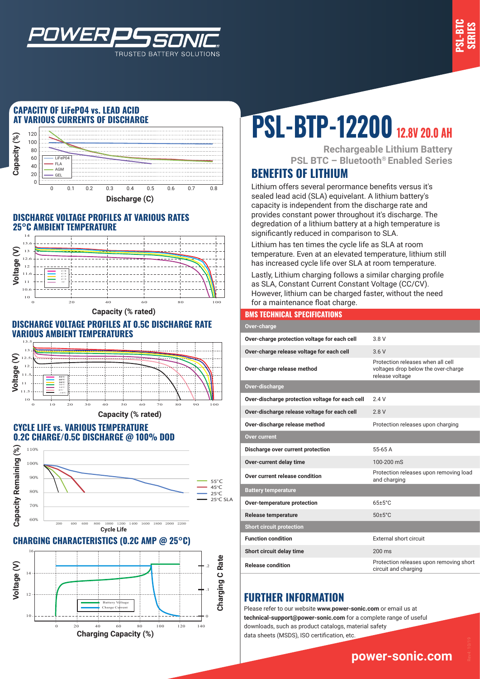

#### **CAPACITY OF LiFeP04 vs. LEAD ACID AT VARIOUS CURRENTS OF DISCHARGE**

*WER* 



TRUSTED BATTERY SOLUTIONS

#### **DISCHARGE VOLTAGE PROFILES AT VARIOUS RATES 25°C AMBIENT TEMPERATURE**



**Capacity (% rated)**

#### **DISCHARGE VOLTAGE PROFILES AT 0.5C DISCHARGE RATE VARIOUS AMBIENT TEMPERATURES**



#### **CYCLE LIFE vs. VARIOUS TEMPERATURE 0.2C CHARGE/0.5C DISCHARGE @ 100% DOD**



#### **CHARGING CHARACTERISTICS (0.2C AMP @ 25°C)**



# **PSL-BTP-12200 12.8V 20.0 AH**

**Rechargeable Lithium Battery PSL BTC – Bluetooth® Enabled Series**

## **BENEFITS OF LITHIUM**

Lithium offers several perormance benefits versus it's sealed lead acid (SLA) equivelant. A lithium battery's capacity is independent from the discharge rate and provides constant power throughout it's discharge. The degredation of a lithium battery at a high temperature is significantly reduced in comparison to SLA.

Lithium has ten times the cycle life as SLA at room temperature. Even at an elevated temperature, lithium still has increased cycle life over SLA at room temperature.

Lastly, Lithium charging follows a similar charging profile as SLA, Constant Current Constant Voltage (CC/CV). However, lithium can be charged faster, without the need for a maintenance float charge.

#### **BMS TECHNICAL SPECIFICATIONS**

| Over-charge                                     |                                                                                             |  |
|-------------------------------------------------|---------------------------------------------------------------------------------------------|--|
| Over-charge protection voltage for each cell    | 3 8 V                                                                                       |  |
| Over-charge release voltage for each cell       | 3.6V                                                                                        |  |
| Over-charge release method                      | Protection releases when all cell<br>voltages drop below the over-charge<br>release voltage |  |
| Over-discharge                                  |                                                                                             |  |
| Over-discharge protection voltage for each cell | 24V                                                                                         |  |
| Over-discharge release voltage for each cell    | 28V                                                                                         |  |
| Over-discharge release method                   | Protection releases upon charging                                                           |  |
| <b>Over current</b>                             |                                                                                             |  |
| Discharge over current protection               | 55-65 A                                                                                     |  |
| Over-current delay time                         | 100-200 mS                                                                                  |  |
| Over current release condition                  | Protection releases upon removing load<br>and charging                                      |  |
| <b>Battery temperature</b>                      |                                                                                             |  |
| Over-temperature protection                     | $65+5^{\circ}$ C                                                                            |  |
| <b>Release temperature</b>                      | $50 \pm 5^{\circ}$ C                                                                        |  |
| <b>Short circuit protection</b>                 |                                                                                             |  |
| <b>Function condition</b>                       | External short circuit                                                                      |  |
| Short circuit delay time                        | $200 \text{ ms}$                                                                            |  |
| <b>Release condition</b>                        | Protection releases upon removing short<br>circuit and charging                             |  |

#### **FURTHER INFORMATION**

Please refer to our website **www.power-sonic.com** or email us at **technical-support@power-sonic.com** for a complete range of useful downloads, such as product catalogs, material safety data sheets (MSDS), ISO certification, etc.